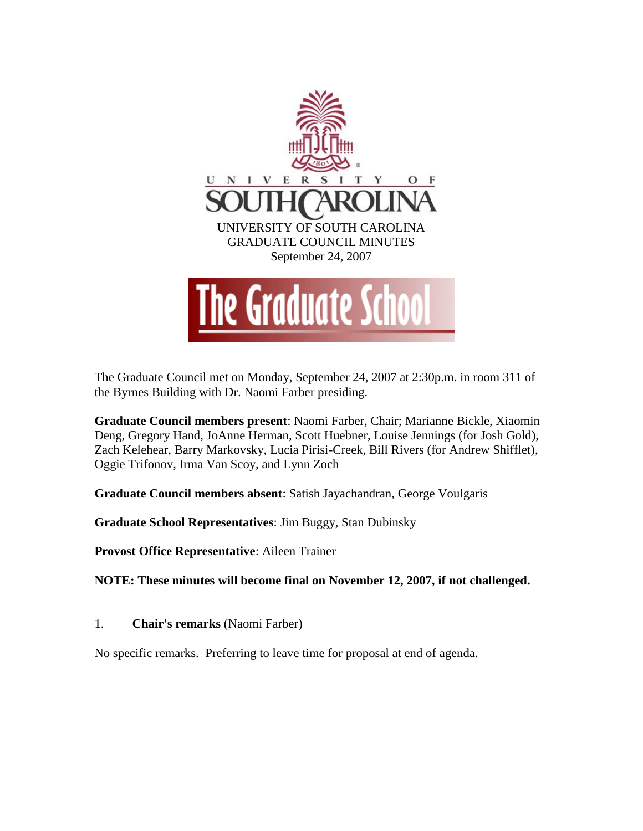

The Graduate Council met on Monday, September 24, 2007 at 2:30p.m. in room 311 of the Byrnes Building with Dr. Naomi Farber presiding.

**Graduate Council members present**: Naomi Farber, Chair; Marianne Bickle, Xiaomin Deng, Gregory Hand, JoAnne Herman, Scott Huebner, Louise Jennings (for Josh Gold), Zach Kelehear, Barry Markovsky, Lucia Pirisi-Creek, Bill Rivers (for Andrew Shifflet), Oggie Trifonov, Irma Van Scoy, and Lynn Zoch

**Graduate Council members absent**: Satish Jayachandran, George Voulgaris

**Graduate School Representatives**: Jim Buggy, Stan Dubinsky

**Provost Office Representative**: Aileen Trainer

**NOTE: These minutes will become final on November 12, 2007, if not challenged.** 

1. **Chair's remarks** (Naomi Farber)

No specific remarks. Preferring to leave time for proposal at end of agenda.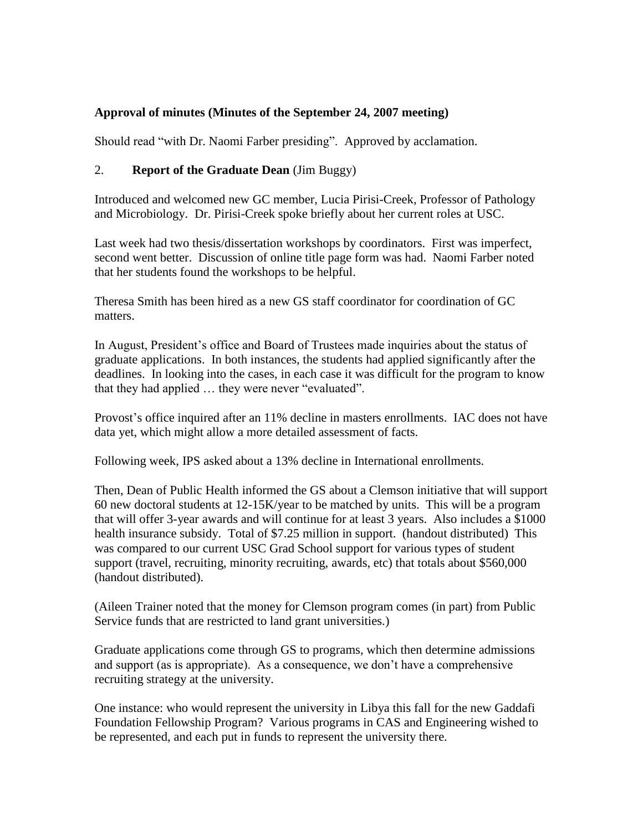## **Approval of minutes (Minutes of the September 24, 2007 meeting)**

Should read "with Dr. Naomi Farber presiding". Approved by acclamation.

## 2. **Report of the Graduate Dean** (Jim Buggy)

Introduced and welcomed new GC member, Lucia Pirisi-Creek, Professor of Pathology and Microbiology. Dr. Pirisi-Creek spoke briefly about her current roles at USC.

Last week had two thesis/dissertation workshops by coordinators. First was imperfect, second went better. Discussion of online title page form was had. Naomi Farber noted that her students found the workshops to be helpful.

Theresa Smith has been hired as a new GS staff coordinator for coordination of GC matters.

In August, President's office and Board of Trustees made inquiries about the status of graduate applications. In both instances, the students had applied significantly after the deadlines. In looking into the cases, in each case it was difficult for the program to know that they had applied … they were never "evaluated".

Provost's office inquired after an 11% decline in masters enrollments. IAC does not have data yet, which might allow a more detailed assessment of facts.

Following week, IPS asked about a 13% decline in International enrollments.

Then, Dean of Public Health informed the GS about a Clemson initiative that will support 60 new doctoral students at 12-15K/year to be matched by units. This will be a program that will offer 3-year awards and will continue for at least 3 years. Also includes a \$1000 health insurance subsidy. Total of \$7.25 million in support. (handout distributed) This was compared to our current USC Grad School support for various types of student support (travel, recruiting, minority recruiting, awards, etc) that totals about \$560,000 (handout distributed).

(Aileen Trainer noted that the money for Clemson program comes (in part) from Public Service funds that are restricted to land grant universities.)

Graduate applications come through GS to programs, which then determine admissions and support (as is appropriate). As a consequence, we don't have a comprehensive recruiting strategy at the university.

One instance: who would represent the university in Libya this fall for the new Gaddafi Foundation Fellowship Program? Various programs in CAS and Engineering wished to be represented, and each put in funds to represent the university there.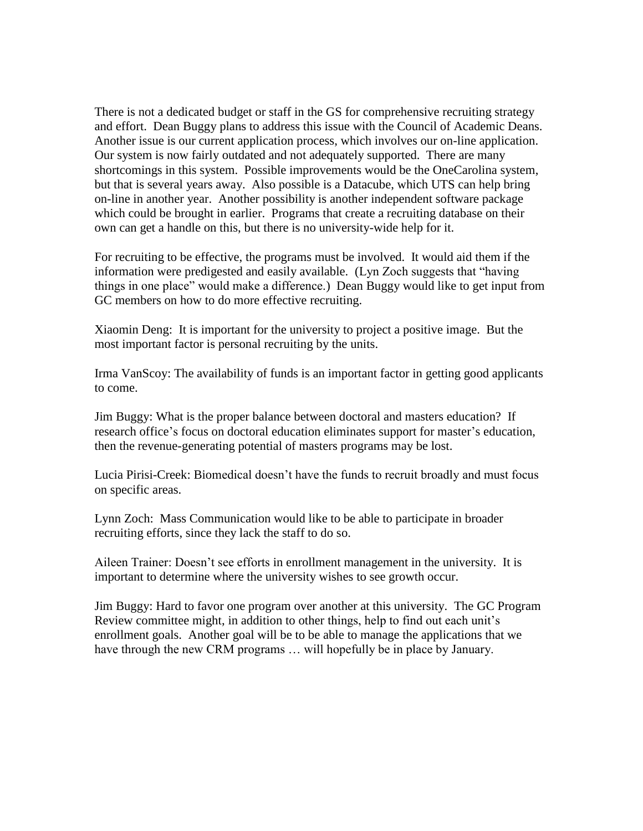There is not a dedicated budget or staff in the GS for comprehensive recruiting strategy and effort. Dean Buggy plans to address this issue with the Council of Academic Deans. Another issue is our current application process, which involves our on-line application. Our system is now fairly outdated and not adequately supported. There are many shortcomings in this system. Possible improvements would be the OneCarolina system, but that is several years away. Also possible is a Datacube, which UTS can help bring on-line in another year. Another possibility is another independent software package which could be brought in earlier. Programs that create a recruiting database on their own can get a handle on this, but there is no university-wide help for it.

For recruiting to be effective, the programs must be involved. It would aid them if the information were predigested and easily available. (Lyn Zoch suggests that "having things in one place" would make a difference.) Dean Buggy would like to get input from GC members on how to do more effective recruiting.

Xiaomin Deng: It is important for the university to project a positive image. But the most important factor is personal recruiting by the units.

Irma VanScoy: The availability of funds is an important factor in getting good applicants to come.

Jim Buggy: What is the proper balance between doctoral and masters education? If research office's focus on doctoral education eliminates support for master's education, then the revenue-generating potential of masters programs may be lost.

Lucia Pirisi-Creek: Biomedical doesn't have the funds to recruit broadly and must focus on specific areas.

Lynn Zoch: Mass Communication would like to be able to participate in broader recruiting efforts, since they lack the staff to do so.

Aileen Trainer: Doesn't see efforts in enrollment management in the university. It is important to determine where the university wishes to see growth occur.

Jim Buggy: Hard to favor one program over another at this university. The GC Program Review committee might, in addition to other things, help to find out each unit's enrollment goals. Another goal will be to be able to manage the applications that we have through the new CRM programs ... will hopefully be in place by January.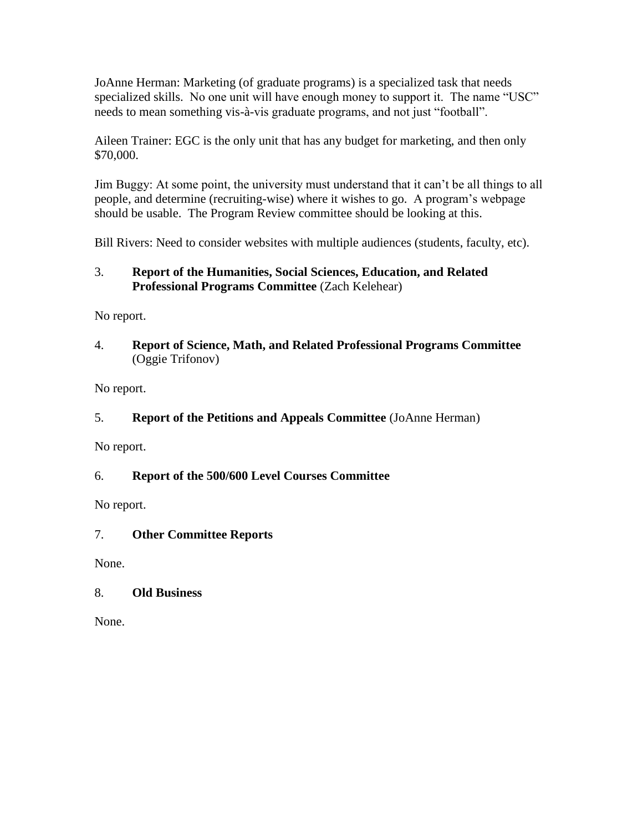JoAnne Herman: Marketing (of graduate programs) is a specialized task that needs specialized skills. No one unit will have enough money to support it. The name "USC" needs to mean something vis-à-vis graduate programs, and not just "football".

Aileen Trainer: EGC is the only unit that has any budget for marketing, and then only \$70,000.

Jim Buggy: At some point, the university must understand that it can't be all things to all people, and determine (recruiting-wise) where it wishes to go. A program's webpage should be usable. The Program Review committee should be looking at this.

Bill Rivers: Need to consider websites with multiple audiences (students, faculty, etc).

## 3. **Report of the Humanities, Social Sciences, Education, and Related Professional Programs Committee** (Zach Kelehear)

No report.

### 4. **Report of Science, Math, and Related Professional Programs Committee** (Oggie Trifonov)

No report.

# 5. **Report of the Petitions and Appeals Committee** (JoAnne Herman)

No report.

# 6. **Report of the 500/600 Level Courses Committee**

No report.

# 7. **Other Committee Reports**

None.

# 8. **Old Business**

None.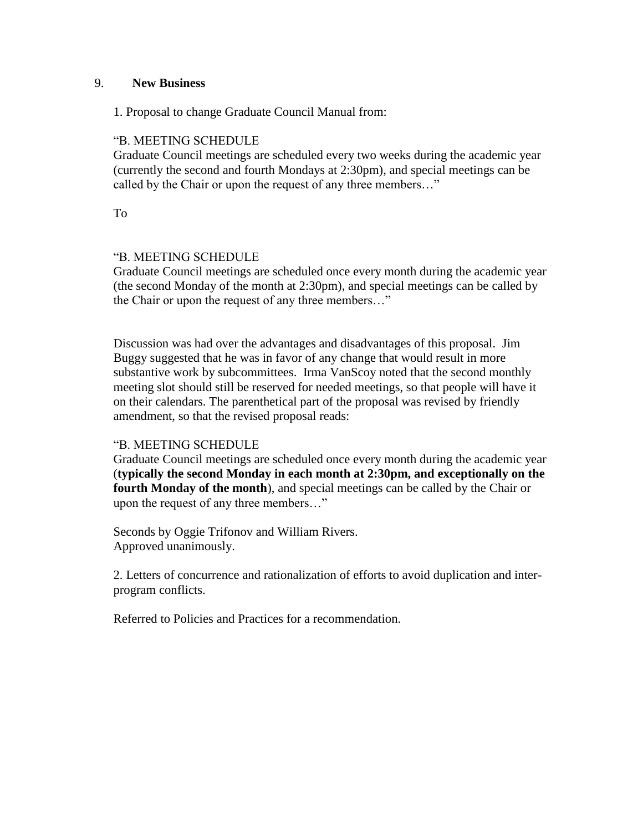#### 9. **New Business**

1. Proposal to change Graduate Council Manual from:

### "B. MEETING SCHEDULE

Graduate Council meetings are scheduled every two weeks during the academic year (currently the second and fourth Mondays at 2:30pm), and special meetings can be called by the Chair or upon the request of any three members…"

To

### "B. MEETING SCHEDULE

Graduate Council meetings are scheduled once every month during the academic year (the second Monday of the month at 2:30pm), and special meetings can be called by the Chair or upon the request of any three members…"

Discussion was had over the advantages and disadvantages of this proposal. Jim Buggy suggested that he was in favor of any change that would result in more substantive work by subcommittees. Irma VanScoy noted that the second monthly meeting slot should still be reserved for needed meetings, so that people will have it on their calendars. The parenthetical part of the proposal was revised by friendly amendment, so that the revised proposal reads:

#### "B. MEETING SCHEDULE

Graduate Council meetings are scheduled once every month during the academic year (**typically the second Monday in each month at 2:30pm, and exceptionally on the fourth Monday of the month**), and special meetings can be called by the Chair or upon the request of any three members…"

Seconds by Oggie Trifonov and William Rivers. Approved unanimously.

2. Letters of concurrence and rationalization of efforts to avoid duplication and interprogram conflicts.

Referred to Policies and Practices for a recommendation.